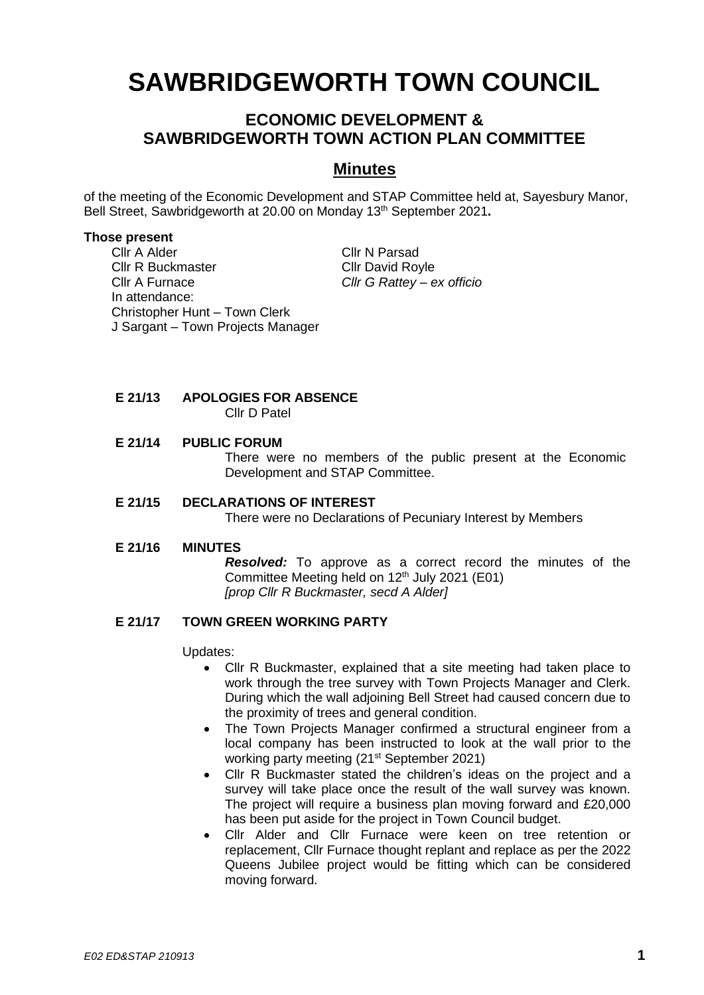# **SAWBRIDGEWORTH TOWN COUNCIL**

# **ECONOMIC DEVELOPMENT & SAWBRIDGEWORTH TOWN ACTION PLAN COMMITTEE**

# **Minutes**

of the meeting of the Economic Development and STAP Committee held at, Sayesbury Manor, Bell Street, Sawbridgeworth at 20.00 on Monday 13 th September 2021**.**

#### **Those present**

Cllr A Alder Cllr N Parsad Cllr R Buckmaster Cllr David Royle Cllr A Furnace *Cllr G Rattey – ex officio* In attendance: Christopher Hunt – Town Clerk J Sargant – Town Projects Manager

# **E 21/13 APOLOGIES FOR ABSENCE**

Cllr D Patel

#### **E 21/14 PUBLIC FORUM**

There were no members of the public present at the Economic Development and STAP Committee.

## **E 21/15 DECLARATIONS OF INTEREST**

There were no Declarations of Pecuniary Interest by Members

#### **E 21/16 MINUTES**

*Resolved:* To approve as a correct record the minutes of the Committee Meeting held on 12 th July 2021 (E01) *[prop Cllr R Buckmaster, secd A Alder]*

## **E 21/17 TOWN GREEN WORKING PARTY**

Updates:

- Cllr R Buckmaster, explained that a site meeting had taken place to work through the tree survey with Town Projects Manager and Clerk. During which the wall adjoining Bell Street had caused concern due to the proximity of trees and general condition.
- The Town Projects Manager confirmed a structural engineer from a local company has been instructed to look at the wall prior to the working party meeting (21<sup>st</sup> September 2021)
- Cllr R Buckmaster stated the children's ideas on the project and a survey will take place once the result of the wall survey was known. The project will require a business plan moving forward and £20,000 has been put aside for the project in Town Council budget.
- Cllr Alder and Cllr Furnace were keen on tree retention or replacement, Cllr Furnace thought replant and replace as per the 2022 Queens Jubilee project would be fitting which can be considered moving forward.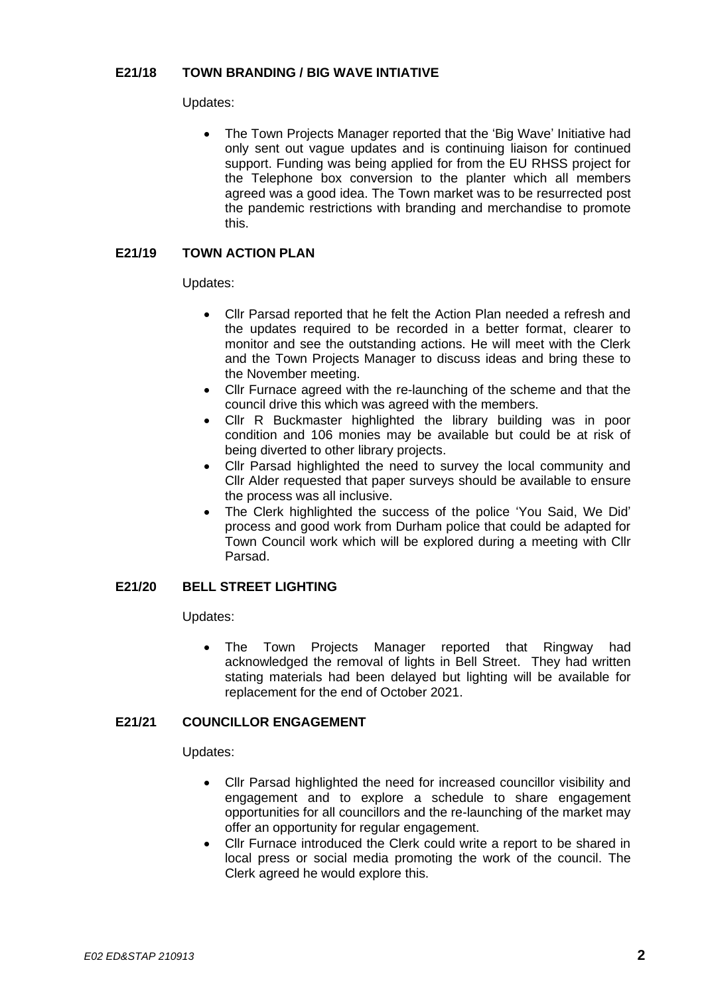# **E21/18 TOWN BRANDING / BIG WAVE INTIATIVE**

#### Updates:

• The Town Projects Manager reported that the 'Big Wave' Initiative had only sent out vague updates and is continuing liaison for continued support. Funding was being applied for from the EU RHSS project for the Telephone box conversion to the planter which all members agreed was a good idea. The Town market was to be resurrected post the pandemic restrictions with branding and merchandise to promote this.

# **E21/19 TOWN ACTION PLAN**

Updates:

- Cllr Parsad reported that he felt the Action Plan needed a refresh and the updates required to be recorded in a better format, clearer to monitor and see the outstanding actions. He will meet with the Clerk and the Town Projects Manager to discuss ideas and bring these to the November meeting.
- Cllr Furnace agreed with the re-launching of the scheme and that the council drive this which was agreed with the members.
- Cllr R Buckmaster highlighted the library building was in poor condition and 106 monies may be available but could be at risk of being diverted to other library projects.
- Cllr Parsad highlighted the need to survey the local community and Cllr Alder requested that paper surveys should be available to ensure the process was all inclusive.
- The Clerk highlighted the success of the police 'You Said, We Did' process and good work from Durham police that could be adapted for Town Council work which will be explored during a meeting with Cllr Parsad.

## **E21/20 BELL STREET LIGHTING**

Updates:

• The Town Projects Manager reported that Ringway had acknowledged the removal of lights in Bell Street. They had written stating materials had been delayed but lighting will be available for replacement for the end of October 2021.

## **E21/21 COUNCILLOR ENGAGEMENT**

#### Updates:

- Cllr Parsad highlighted the need for increased councillor visibility and engagement and to explore a schedule to share engagement opportunities for all councillors and the re-launching of the market may offer an opportunity for regular engagement.
- Cllr Furnace introduced the Clerk could write a report to be shared in local press or social media promoting the work of the council. The Clerk agreed he would explore this.